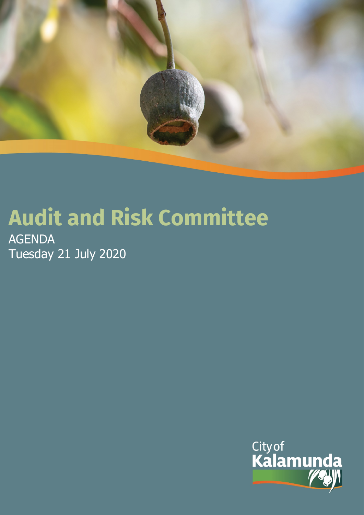

# **Audit and Risk Committee**

AGENDA Tuesday 21 July 2020

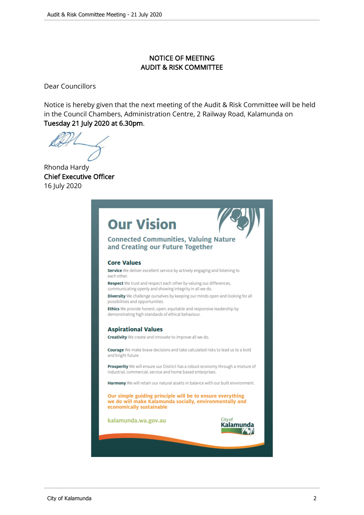# NOTICE OF MEETING AUDIT & RISK COMMITTEE

Dear Councillors

Notice is hereby given that the next meeting of the Audit & Risk Committee will be held in the Council Chambers, Administration Centre, 2 Railway Road, Kalamunda on Tuesday 21 July 2020 at 6.30pm.

Rhonda Hardy Chief Executive Officer 16 July 2020

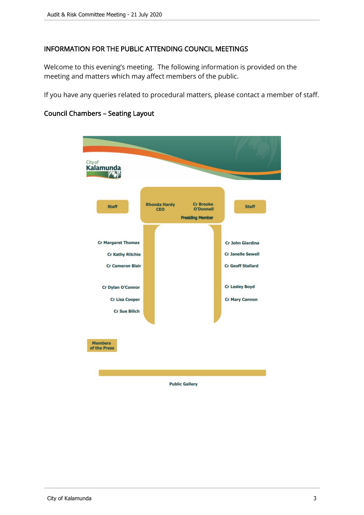# INFORMATION FOR THE PUBLIC ATTENDING COUNCIL MEETINGS

Welcome to this evening's meeting. The following information is provided on the meeting and matters which may affect members of the public.

If you have any queries related to procedural matters, please contact a member of staff.



# Council Chambers – Seating Layout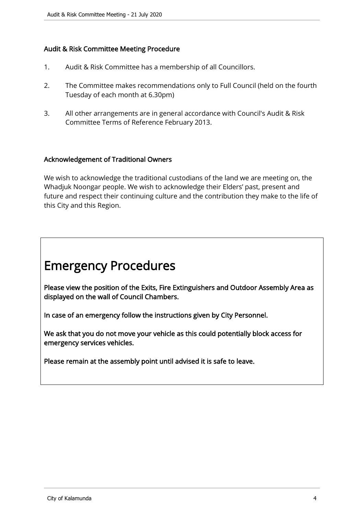# Audit & Risk Committee Meeting Procedure

- 1. Audit & Risk Committee has a membership of all Councillors.
- 2. The Committee makes recommendations only to Full Council (held on the fourth Tuesday of each month at 6.30pm)
- 3. All other arrangements are in general accordance with Council's Audit & Risk Committee Terms of Reference February 2013.

# Acknowledgement of Traditional Owners

We wish to acknowledge the traditional custodians of the land we are meeting on, the Whadjuk Noongar people. We wish to acknowledge their Elders' past, present and future and respect their continuing culture and the contribution they make to the life of this City and this Region.

# Emergency Procedures

Please view the position of the Exits, Fire Extinguishers and Outdoor Assembly Area as displayed on the wall of Council Chambers.

In case of an emergency follow the instructions given by City Personnel.

We ask that you do not move your vehicle as this could potentially block access for emergency services vehicles.

Please remain at the assembly point until advised it is safe to leave.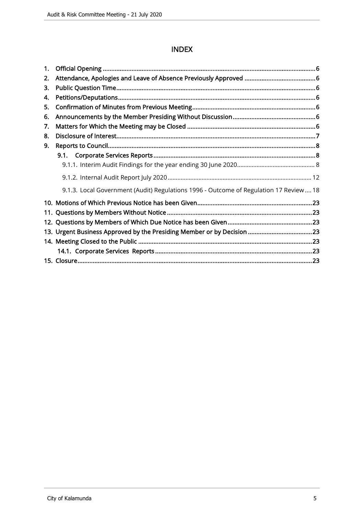# INDEX

| 1. |                                                                                       |
|----|---------------------------------------------------------------------------------------|
| 2. |                                                                                       |
| З. |                                                                                       |
| 4. |                                                                                       |
| 5. |                                                                                       |
| 6. |                                                                                       |
| 7. |                                                                                       |
| 8. |                                                                                       |
| 9. |                                                                                       |
|    | 9.1.                                                                                  |
|    |                                                                                       |
|    |                                                                                       |
|    | 9.1.3. Local Government (Audit) Regulations 1996 - Outcome of Regulation 17 Review 18 |
|    |                                                                                       |
|    |                                                                                       |
|    |                                                                                       |
|    |                                                                                       |
|    |                                                                                       |
|    |                                                                                       |
|    |                                                                                       |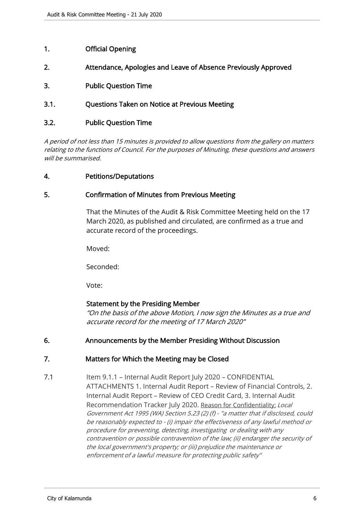# <span id="page-5-0"></span>1. Official Opening

- 2. Attendance, Apologies and Leave of Absence Previously Approved
- 3. Public Question Time
- 3.1. Questions Taken on Notice at Previous Meeting

# 3.2. Public Question Time

A period of not less than 15 minutes is provided to allow questions from the gallery on matters relating to the functions of Council. For the purposes of Minuting, these questions and answers will be summarised.

#### 4. Petitions/Deputations

#### 5. Confirmation of Minutes from Previous Meeting

That the Minutes of the Audit & Risk Committee Meeting held on the 17 March 2020, as published and circulated, are confirmed as a true and accurate record of the proceedings.

Moved:

Seconded:

Vote:

# Statement by the Presiding Member

"On the basis of the above Motion, I now sign the Minutes as a true and accurate record for the meeting of 17 March 2020"

# 6. Announcements by the Member Presiding Without Discussion

# 7. Matters for Which the Meeting may be Closed

7.1 Item 9.1.1 – Internal Audit Report July 2020 – CONFIDENTIAL ATTACHMENTS 1. Internal Audit Report – Review of Financial Controls, 2. Internal Audit Report – Review of CEO Credit Card, 3. Internal Audit Recommendation Tracker July 2020. Reason for Confidentiality: Local Government Act 1995 (WA) Section 5.23 (2) (f) - "a matter that if disclosed, could be reasonably expected to - (i) impair the effectiveness of any lawful method or procedure for preventing, detecting, investigating or dealing with any contravention or possible contravention of the law; (ii) endanger the security of the local government's property; or (iii) prejudice the maintenance or enforcement of a lawful measure for protecting public safety"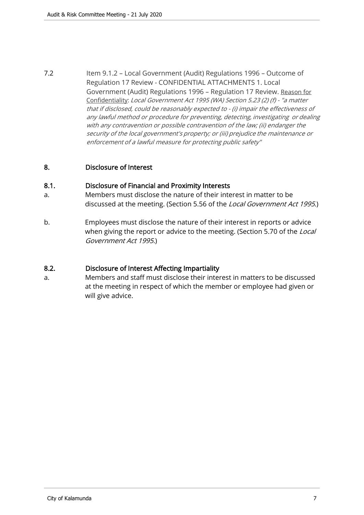<span id="page-6-0"></span>7.2 Item 9.1.2 – Local Government (Audit) Regulations 1996 – Outcome of Regulation 17 Review - CONFIDENTIAL ATTACHMENTS 1. Local Government (Audit) Regulations 1996 – Regulation 17 Review. Reason for Confidentiality: Local Government Act 1995 (WA) Section 5.23 (2) (f) - "a matter that if disclosed, could be reasonably expected to - (i) impair the effectiveness of any lawful method or procedure for preventing, detecting, investigating or dealing with any contravention or possible contravention of the law; (ii) endanger the security of the local government's property; or (iii) prejudice the maintenance or enforcement of a lawful measure for protecting public safety"

# 8. Disclosure of Interest

#### 8.1. Disclosure of Financial and Proximity Interests

- a. Members must disclose the nature of their interest in matter to be discussed at the meeting. (Section 5.56 of the Local Government Act 1995.)
- b. Employees must disclose the nature of their interest in reports or advice when giving the report or advice to the meeting. (Section 5.70 of the Local Government Act 1995.)

# 8.2. Disclosure of Interest Affecting Impartiality

a. Members and staff must disclose their interest in matters to be discussed at the meeting in respect of which the member or employee had given or will give advice.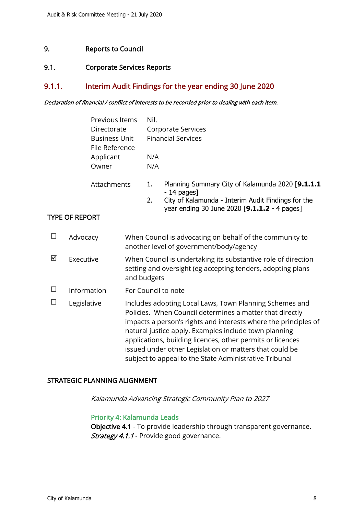# <span id="page-7-0"></span>9. Reports to Council

#### 9.1. Corporate Services Reports

# 9.1.1. Interim Audit Findings for the year ending 30 June 2020

#### Declaration of financial / conflict of interests to be recorded prior to dealing with each item.

|                       | Previous Items<br>Directorate<br><b>Business Unit</b><br>File Reference<br>Applicant<br>Owner |             | Nil.<br>N/A<br>N/A                                                                                                                                                                                                                                                                                                                                                                                                                 | Corporate Services<br><b>Financial Services</b> |                                                                                                                                                                        |
|-----------------------|-----------------------------------------------------------------------------------------------|-------------|------------------------------------------------------------------------------------------------------------------------------------------------------------------------------------------------------------------------------------------------------------------------------------------------------------------------------------------------------------------------------------------------------------------------------------|-------------------------------------------------|------------------------------------------------------------------------------------------------------------------------------------------------------------------------|
|                       |                                                                                               | Attachments |                                                                                                                                                                                                                                                                                                                                                                                                                                    | 1.<br>2.                                        | Planning Summary City of Kalamunda 2020 [9.1.1.1<br>$-14$ pages]<br>City of Kalamunda - Interim Audit Findings for the<br>year ending 30 June 2020 [9.1.1.2 - 4 pages] |
|                       | <b>TYPE OF REPORT</b>                                                                         |             |                                                                                                                                                                                                                                                                                                                                                                                                                                    |                                                 |                                                                                                                                                                        |
| $\Box$                | Advocacy                                                                                      |             | When Council is advocating on behalf of the community to<br>another level of government/body/agency                                                                                                                                                                                                                                                                                                                                |                                                 |                                                                                                                                                                        |
| ☑                     | Executive                                                                                     |             | and budgets                                                                                                                                                                                                                                                                                                                                                                                                                        |                                                 | When Council is undertaking its substantive role of direction<br>setting and oversight (eg accepting tenders, adopting plans                                           |
| $\Box$                | Information                                                                                   |             |                                                                                                                                                                                                                                                                                                                                                                                                                                    |                                                 | For Council to note                                                                                                                                                    |
| $\Box$<br>Legislative |                                                                                               |             | Includes adopting Local Laws, Town Planning Schemes and<br>Policies. When Council determines a matter that directly<br>impacts a person's rights and interests where the principles of<br>natural justice apply. Examples include town planning<br>applications, building licences, other permits or licences<br>issued under other Legislation or matters that could be<br>subject to appeal to the State Administrative Tribunal |                                                 |                                                                                                                                                                        |

#### STRATEGIC PLANNING ALIGNMENT

Kalamunda Advancing Strategic Community Plan to 2027

#### Priority 4: Kalamunda Leads

Objective 4.1 - To provide leadership through transparent governance. Strategy 4.1.1 - Provide good governance.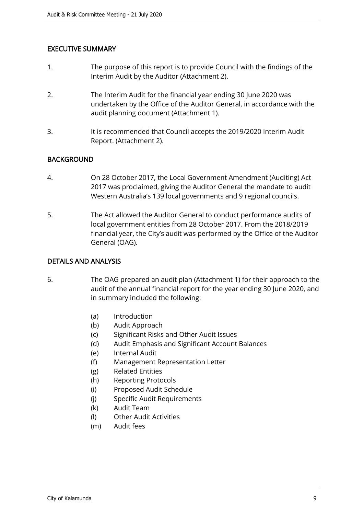# EXECUTIVE SUMMARY

- 1. The purpose of this report is to provide Council with the findings of the Interim Audit by the Auditor (Attachment 2).
- 2. The Interim Audit for the financial year ending 30 June 2020 was undertaken by the Office of the Auditor General, in accordance with the audit planning document (Attachment 1).
- 3. It is recommended that Council accepts the 2019/2020 Interim Audit Report. (Attachment 2).

# **BACKGROUND**

- 4. On 28 October 2017, the Local Government Amendment (Auditing) Act 2017 was proclaimed, giving the Auditor General the mandate to audit Western Australia's 139 local governments and 9 regional councils.
- 5. The Act allowed the Auditor General to conduct performance audits of local government entities from 28 October 2017. From the 2018/2019 financial year, the City's audit was performed by the Office of the Auditor General (OAG).

#### DETAILS AND ANALYSIS

- 6. The OAG prepared an audit plan (Attachment 1) for their approach to the audit of the annual financial report for the year ending 30 June 2020, and in summary included the following:
	- (a) Introduction
	- (b) Audit Approach
	- (c) Significant Risks and Other Audit Issues
	- (d) Audit Emphasis and Significant Account Balances
	- (e) Internal Audit
	- (f) Management Representation Letter
	- (g) Related Entities
	- (h) Reporting Protocols
	- (i) Proposed Audit Schedule
	- (j) Specific Audit Requirements
	- (k) Audit Team
	- (l) Other Audit Activities
	- (m) Audit fees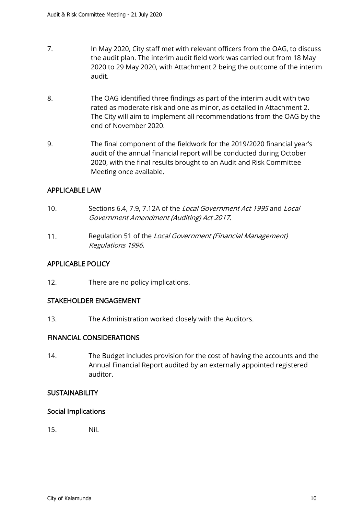- 7. In May 2020, City staff met with relevant officers from the OAG, to discuss the audit plan. The interim audit field work was carried out from 18 May 2020 to 29 May 2020, with Attachment 2 being the outcome of the interim audit.
- 8. The OAG identified three findings as part of the interim audit with two rated as moderate risk and one as minor, as detailed in Attachment 2. The City will aim to implement all recommendations from the OAG by the end of November 2020.
- 9. The final component of the fieldwork for the 2019/2020 financial year's audit of the annual financial report will be conducted during October 2020, with the final results brought to an Audit and Risk Committee Meeting once available.

# APPLICABLE LAW

- 10. Sections 6.4, 7.9, 7.12A of the Local Government Act 1995 and Local Government Amendment (Auditing) Act 2017.
- 11. Regulation 51 of the Local Government (Financial Management) Regulations 1996.

# APPLICABLE POLICY

12. There are no policy implications.

# STAKEHOLDER ENGAGEMENT

13. The Administration worked closely with the Auditors.

# FINANCIAL CONSIDERATIONS

14. The Budget includes provision for the cost of having the accounts and the Annual Financial Report audited by an externally appointed registered auditor.

# **SUSTAINABILITY**

# Social Implications

15. Nil.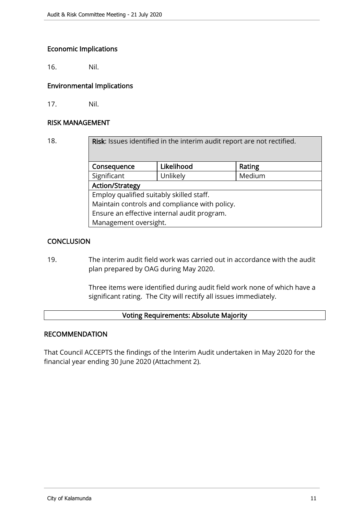# Economic Implications

16. Nil.

# Environmental Implications

17. Nil.

#### RISK MANAGEMENT

| 18.                                           | Risk: Issues identified in the interim audit report are not rectified. |            |        |  |  |
|-----------------------------------------------|------------------------------------------------------------------------|------------|--------|--|--|
|                                               | Consequence                                                            | Likelihood | Rating |  |  |
|                                               | Significant                                                            | Unlikely   | Medium |  |  |
|                                               | <b>Action/Strategy</b>                                                 |            |        |  |  |
| Employ qualified suitably skilled staff.      |                                                                        |            |        |  |  |
| Maintain controls and compliance with policy. |                                                                        |            |        |  |  |
| Ensure an effective internal audit program.   |                                                                        |            |        |  |  |
|                                               | Management oversight.                                                  |            |        |  |  |

# **CONCLUSION**

19. The interim audit field work was carried out in accordance with the audit plan prepared by OAG during May 2020.

> Three items were identified during audit field work none of which have a significant rating. The City will rectify all issues immediately.

# Voting Requirements: Absolute Majority

#### RECOMMENDATION

That Council ACCEPTS the findings of the Interim Audit undertaken in May 2020 for the financial year ending 30 June 2020 (Attachment 2).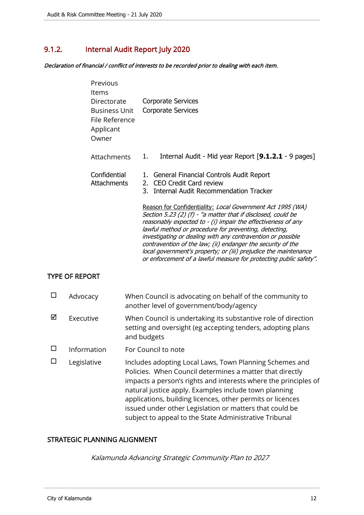# <span id="page-11-0"></span>9.1.2. Internal Audit Report July 2020

Declaration of financial / conflict of interests to be recorded prior to dealing with each item.

| Previous<br>Items                                                    |                                                                                                                                                                                                                                                                                                                                                                                                                                                                                                                           |  |  |
|----------------------------------------------------------------------|---------------------------------------------------------------------------------------------------------------------------------------------------------------------------------------------------------------------------------------------------------------------------------------------------------------------------------------------------------------------------------------------------------------------------------------------------------------------------------------------------------------------------|--|--|
| Directorate<br>Business Unit<br>File Reference<br>Applicant<br>Owner | Corporate Services<br><b>Corporate Services</b>                                                                                                                                                                                                                                                                                                                                                                                                                                                                           |  |  |
| Attachments                                                          | Internal Audit - Mid year Report [9.1.2.1 - 9 pages]<br>1.                                                                                                                                                                                                                                                                                                                                                                                                                                                                |  |  |
| Confidential<br><b>Attachments</b>                                   | General Financial Controls Audit Report<br><b>CEO Credit Card review</b><br>2.<br><b>Internal Audit Recommendation Tracker</b><br>3.                                                                                                                                                                                                                                                                                                                                                                                      |  |  |
|                                                                      | Reason for Confidentiality: Local Government Act 1995 (WA)<br>Section 5.23 (2) (f) - "a matter that if disclosed, could be<br>reasonably expected to - (i) impair the effectiveness of any<br>lawful method or procedure for preventing, detecting,<br>investigating or dealing with any contravention or possible<br>contravention of the law; (ii) endanger the security of the<br>local government's property; or (iii) prejudice the maintenance<br>or enforcement of a lawful measure for protecting public safety". |  |  |

# TYPE OF REPORT

|   | Advocacy    | When Council is advocating on behalf of the community to<br>another level of government/body/agency                                                                                                                                                                                                                                                                                                                                |
|---|-------------|------------------------------------------------------------------------------------------------------------------------------------------------------------------------------------------------------------------------------------------------------------------------------------------------------------------------------------------------------------------------------------------------------------------------------------|
| ⊠ | Executive   | When Council is undertaking its substantive role of direction<br>setting and oversight (eg accepting tenders, adopting plans<br>and budgets                                                                                                                                                                                                                                                                                        |
|   | Information | For Council to note                                                                                                                                                                                                                                                                                                                                                                                                                |
|   | Legislative | Includes adopting Local Laws, Town Planning Schemes and<br>Policies. When Council determines a matter that directly<br>impacts a person's rights and interests where the principles of<br>natural justice apply. Examples include town planning<br>applications, building licences, other permits or licences<br>issued under other Legislation or matters that could be<br>subject to appeal to the State Administrative Tribunal |

# STRATEGIC PLANNING ALIGNMENT

Kalamunda Advancing Strategic Community Plan to 2027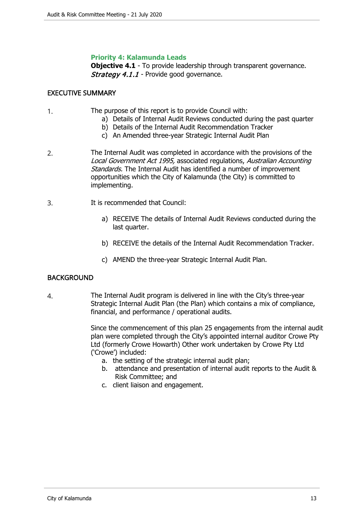#### **Priority 4: Kalamunda Leads**

**Objective 4.1** - To provide leadership through transparent governance. Strategy 4.1.1 - Provide good governance.

#### EXECUTIVE SUMMARY

- 1. The purpose of this report is to provide Council with:
	- a) Details of Internal Audit Reviews conducted during the past quarter
	- b) Details of the Internal Audit Recommendation Tracker
	- c) An Amended three-year Strategic Internal Audit Plan
- 2. The Internal Audit was completed in accordance with the provisions of the Local Government Act 1995, associated regulations, Australian Accounting Standards. The Internal Audit has identified a number of improvement opportunities which the City of Kalamunda (the City) is committed to implementing.
- 3. It is recommended that Council:
	- a) RECEIVE The details of Internal Audit Reviews conducted during the last quarter.
	- b) RECEIVE the details of the Internal Audit Recommendation Tracker.
	- c) AMEND the three-year Strategic Internal Audit Plan.

#### **BACKGROUND**

4. The Internal Audit program is delivered in line with the City's three-year Strategic Internal Audit Plan (the Plan) which contains a mix of compliance, financial, and performance / operational audits.

> Since the commencement of this plan 25 engagements from the internal audit plan were completed through the City's appointed internal auditor Crowe Pty Ltd (formerly Crowe Howarth) Other work undertaken by Crowe Pty Ltd ('Crowe') included:

- a. the setting of the strategic internal audit plan;
- b. attendance and presentation of internal audit reports to the Audit & Risk Committee; and
- c. client liaison and engagement.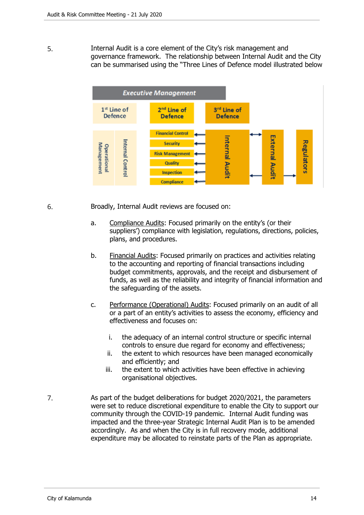5. Internal Audit is a core element of the City's risk management and governance framework. The relationship between Internal Audit and the City can be summarised using the "Three Lines of Defence model illustrated below



6. Broadly, Internal Audit reviews are focused on:

- a. Compliance Audits: Focused primarily on the entity's (or their suppliers') compliance with legislation, regulations, directions, policies, plans, and procedures.
- b. Financial Audits: Focused primarily on practices and activities relating to the accounting and reporting of financial transactions including budget commitments, approvals, and the receipt and disbursement of funds, as well as the reliability and integrity of financial information and the safeguarding of the assets.
- c. Performance (Operational) Audits: Focused primarily on an audit of all or a part of an entity's activities to assess the economy, efficiency and effectiveness and focuses on:
	- i. the adequacy of an internal control structure or specific internal controls to ensure due regard for economy and effectiveness;
	- ii. the extent to which resources have been managed economically and efficiently; and
	- iii. the extent to which activities have been effective in achieving organisational objectives.
- 7. As part of the budget deliberations for budget 2020/2021, the parameters were set to reduce discretional expenditure to enable the City to support our community through the COVID-19 pandemic. Internal Audit funding was impacted and the three-year Strategic Internal Audit Plan is to be amended accordingly. As and when the City is in full recovery mode, additional expenditure may be allocated to reinstate parts of the Plan as appropriate.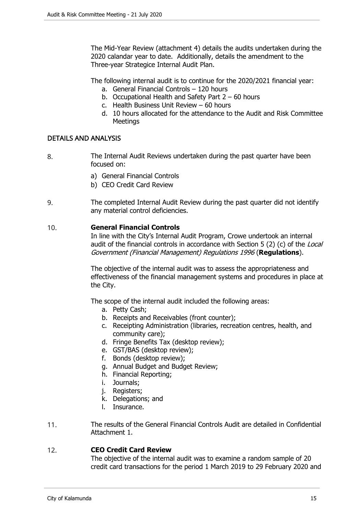The Mid-Year Review (attachment 4) details the audits undertaken during the 2020 calandar year to date. Additionally, details the amendment to the Three-year Strategice Internal Audit Plan.

The following internal audit is to continue for the 2020/2021 financial year:

- a. General Financial Controls 120 hours
- b. Occupational Health and Safety Part 2 60 hours
- c. Health Business Unit Review 60 hours
- d. 10 hours allocated for the attendance to the Audit and Risk Committee Meetings

# DETAILS AND ANALYSIS

- 8. The Internal Audit Reviews undertaken during the past quarter have been focused on:
	- a) General Financial Controls
	- b) CEO Credit Card Review
- 9. The completed Internal Audit Review during the past quarter did not identify any material control deficiencies.

#### 10. **General Financial Controls**

In line with the City's Internal Audit Program, Crowe undertook an internal audit of the financial controls in accordance with Section 5 (2) (c) of the Local Government (Financial Management) Regulations 1996 (**Regulations**).

The objective of the internal audit was to assess the appropriateness and effectiveness of the financial management systems and procedures in place at the City.

The scope of the internal audit included the following areas:

- a. Petty Cash;
- b. Receipts and Receivables (front counter);
- c. Receipting Administration (libraries, recreation centres, health, and community care);
- d. Fringe Benefits Tax (desktop review);
- e. GST/BAS (desktop review);
- f. Bonds (desktop review);
- g. Annual Budget and Budget Review;
- h. Financial Reporting;
- i. Journals;
- j. Registers;
- k. Delegations; and
- l. Insurance.
- 11. The results of the General Financial Controls Audit are detailed in Confidential Attachment 1.

# 12. **CEO Credit Card Review**

The objective of the internal audit was to examine a random sample of 20 credit card transactions for the period 1 March 2019 to 29 February 2020 and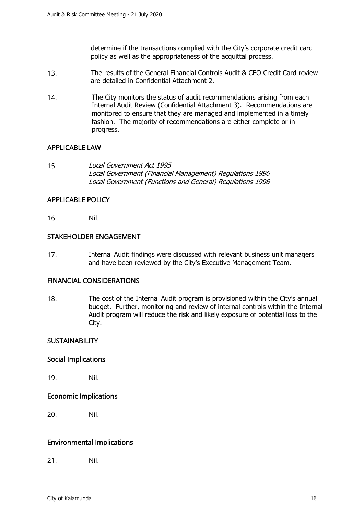determine if the transactions complied with the City's corporate credit card policy as well as the appropriateness of the acquittal process.

- 13. The results of the General Financial Controls Audit & CEO Credit Card review are detailed in Confidential Attachment 2.
- 14. The City monitors the status of audit recommendations arising from each Internal Audit Review (Confidential Attachment 3). Recommendations are monitored to ensure that they are managed and implemented in a timely fashion. The majority of recommendations are either complete or in progress.

# APPLICABLE LAW

15. Local Government Act 1995 Local Government (Financial Management) Regulations 1996 Local Government (Functions and General) Regulations 1996

#### APPLICABLE POLICY

16. Nil.

#### STAKEHOLDER ENGAGEMENT

17. Internal Audit findings were discussed with relevant business unit managers and have been reviewed by the City's Executive Management Team.

#### FINANCIAL CONSIDERATIONS

18. The cost of the Internal Audit program is provisioned within the City's annual budget. Further, monitoring and review of internal controls within the Internal Audit program will reduce the risk and likely exposure of potential loss to the City.

# **SUSTAINABILITY**

# Social Implications

19. Nil.

# Economic Implications

20. Nil.

# Environmental Implications

21. Nil.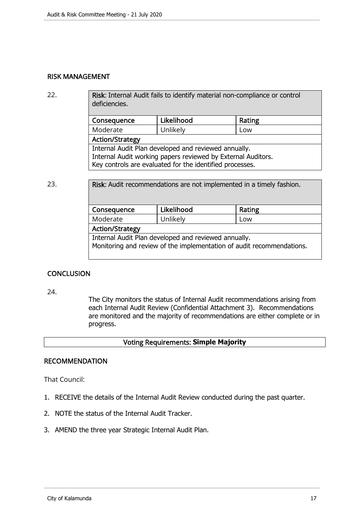#### RISK MANAGEMENT

22. Risk: Internal Audit fails to identify material non-compliance or control deficiencies.

| Consequence                                                  | Likelihood | Rating |  |  |
|--------------------------------------------------------------|------------|--------|--|--|
| Moderate                                                     | Unlikely   | Low    |  |  |
| <b>Action/Strategy</b>                                       |            |        |  |  |
| Internal Audit Plan developed and reviewed annually.         |            |        |  |  |
| Internal Audit working papers reviewed by External Auditors. |            |        |  |  |
| Key controls are evaluated for the identified processes.     |            |        |  |  |

23. **Risk:** Audit recommendations are not implemented in a timely fashion. Consequence | Likelihood | Rating Moderate Unlikely Low Action/Strategy Internal Audit Plan developed and reviewed annually. Monitoring and review of the implementation of audit recommendations.

# **CONCLUSION**

24.

The City monitors the status of Internal Audit recommendations arising from each Internal Audit Review (Confidential Attachment 3). Recommendations are monitored and the majority of recommendations are either complete or in progress.

# Voting Requirements: **Simple Majority**

#### RECOMMENDATION

That Council:

- 1. RECEIVE the details of the Internal Audit Review conducted during the past quarter.
- 2. NOTE the status of the Internal Audit Tracker.
- 3. AMEND the three year Strategic Internal Audit Plan.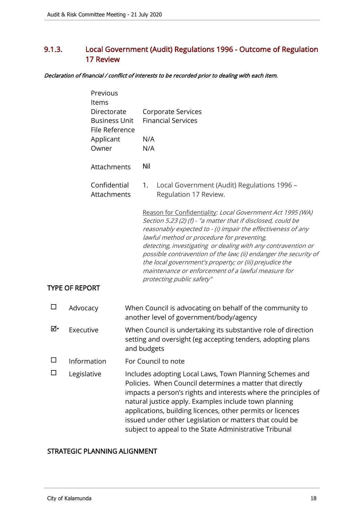# <span id="page-17-0"></span>9.1.3. Local Government (Audit) Regulations 1996 - Outcome of Regulation 17 Review

Declaration of financial / conflict of interests to be recorded prior to dealing with each item.

| Previous<br>Items<br>Directorate<br><b>Business Unit</b><br>File Reference |                             |  | <b>Corporate Services</b><br><b>Financial Services</b>                                                                                                                                                                                                                                                                                                                                                                                                                                                                      |  |  |
|----------------------------------------------------------------------------|-----------------------------|--|-----------------------------------------------------------------------------------------------------------------------------------------------------------------------------------------------------------------------------------------------------------------------------------------------------------------------------------------------------------------------------------------------------------------------------------------------------------------------------------------------------------------------------|--|--|
|                                                                            | Applicant<br>Owner          |  | N/A<br>N/A                                                                                                                                                                                                                                                                                                                                                                                                                                                                                                                  |  |  |
|                                                                            | Attachments                 |  | Nil                                                                                                                                                                                                                                                                                                                                                                                                                                                                                                                         |  |  |
|                                                                            | Confidential<br>Attachments |  | Local Government (Audit) Regulations 1996 -<br>1.<br>Regulation 17 Review.                                                                                                                                                                                                                                                                                                                                                                                                                                                  |  |  |
|                                                                            | <b>TYPE OF REPORT</b>       |  | Reason for Confidentiality: Local Government Act 1995 (WA)<br>Section 5.23 (2) (f) - "a matter that if disclosed, could be<br>reasonably expected to - (i) impair the effectiveness of any<br>lawful method or procedure for preventing,<br>detecting, investigating or dealing with any contravention or<br>possible contravention of the law; (ii) endanger the security of<br>the local government's property; or (iii) prejudice the<br>maintenance or enforcement of a lawful measure for<br>protecting public safety" |  |  |
| $\Box$                                                                     | Advocacy                    |  | When Council is advocating on behalf of the community to<br>another level of government/body/agency                                                                                                                                                                                                                                                                                                                                                                                                                         |  |  |
| ⊠∙                                                                         | Executive                   |  | When Council is undertaking its substantive role of direction<br>setting and oversight (eg accepting tenders, adopting plans<br>and budgets                                                                                                                                                                                                                                                                                                                                                                                 |  |  |
| $\Box$                                                                     | Information                 |  | For Council to note                                                                                                                                                                                                                                                                                                                                                                                                                                                                                                         |  |  |
| ΙI                                                                         | Legislative                 |  | Includes adopting Local Laws, Town Planning Schemes and<br>Policies. When Council determines a matter that directly<br>impacts a person's rights and interests where the principles of<br>natural justice apply. Examples include town planning<br>applications, building licences, other permits or licences<br>issued under other Legislation or matters that could be<br>subject to appeal to the State Administrative Tribunal                                                                                          |  |  |

#### STRATEGIC PLANNING ALIGNMENT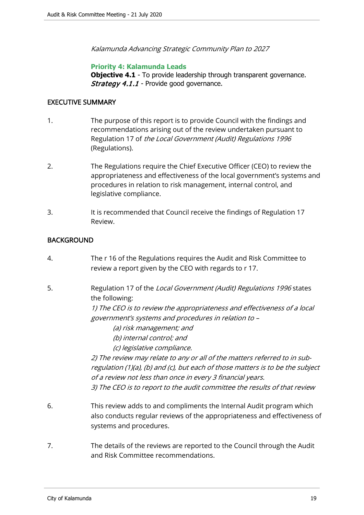Kalamunda Advancing Strategic Community Plan to 2027

# **Priority 4: Kalamunda Leads**

**Objective 4.1** - To provide leadership through transparent governance. **Strategy 4.1.1** - Provide good governance.

#### EXECUTIVE SUMMARY

- 1. The purpose of this report is to provide Council with the findings and recommendations arising out of the review undertaken pursuant to Regulation 17 of the Local Government (Audit) Regulations 1996 (Regulations).
- 2. The Regulations require the Chief Executive Officer (CEO) to review the appropriateness and effectiveness of the local government's systems and procedures in relation to risk management, internal control, and legislative compliance.
- 3. It is recommended that Council receive the findings of Regulation 17 Review.

# BACKGROUND

- 4. The r 16 of the Regulations requires the Audit and Risk Committee to review a report given by the CEO with regards to r 17.
- 5. Regulation 17 of the Local Government (Audit) Regulations 1996 states the following:

1) The CEO is to review the appropriateness and effectiveness of a local government's systems and procedures in relation to –

- (a) risk management; and
- (b) internal control; and
- (c) legislative compliance.

2) The review may relate to any or all of the matters referred to in subregulation (1)(a), (b) and (c), but each of those matters is to be the subject of a review not less than once in every 3 financial years. 3) The CEO is to report to the audit committee the results of that review

- 6. This review adds to and compliments the Internal Audit program which also conducts regular reviews of the appropriateness and effectiveness of systems and procedures.
- 7. The details of the reviews are reported to the Council through the Audit and Risk Committee recommendations.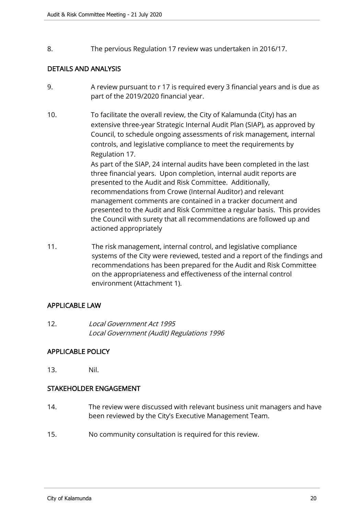8. The pervious Regulation 17 review was undertaken in 2016/17.

# DETAILS AND ANALYSIS

- 9. A review pursuant to r 17 is required every 3 financial years and is due as part of the 2019/2020 financial year.
- 10. To facilitate the overall review, the City of Kalamunda (City) has an extensive three-year Strategic Internal Audit Plan (SIAP), as approved by Council, to schedule ongoing assessments of risk management, internal controls, and legislative compliance to meet the requirements by Regulation 17.

As part of the SIAP, 24 internal audits have been completed in the last three financial years. Upon completion, internal audit reports are presented to the Audit and Risk Committee. Additionally, recommendations from Crowe (Internal Auditor) and relevant management comments are contained in a tracker document and presented to the Audit and Risk Committee a regular basis. This provides the Council with surety that all recommendations are followed up and actioned appropriately

11. The risk management, internal control, and legislative compliance systems of the City were reviewed, tested and a report of the findings and recommendations has been prepared for the Audit and Risk Committee on the appropriateness and effectiveness of the internal control environment (Attachment 1).

# APPLICABLE LAW

12. Local Government Act 1995 Local Government (Audit) Regulations 1996

# APPLICABLE POLICY

13. Nil.

# STAKEHOLDER ENGAGEMENT

- 14. The review were discussed with relevant business unit managers and have been reviewed by the City's Executive Management Team.
- 15. No community consultation is required for this review.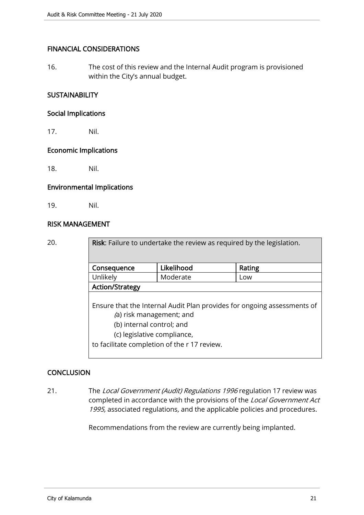# FINANCIAL CONSIDERATIONS

16. The cost of this review and the Internal Audit program is provisioned within the City's annual budget.

# **SUSTAINABILITY**

#### Social Implications

17. Nil.

#### Economic Implications

18. Nil.

#### Environmental Implications

19. Nil.

#### RISK MANAGEMENT

| 20. | Risk: Failure to undertake the review as required by the legislation.   |            |        |  |  |  |
|-----|-------------------------------------------------------------------------|------------|--------|--|--|--|
|     |                                                                         |            |        |  |  |  |
|     | Consequence                                                             | Likelihood | Rating |  |  |  |
|     | Unlikely                                                                | Moderate   | Low    |  |  |  |
|     | <b>Action/Strategy</b>                                                  |            |        |  |  |  |
|     |                                                                         |            |        |  |  |  |
|     | Ensure that the Internal Audit Plan provides for ongoing assessments of |            |        |  |  |  |
|     | (a) risk management; and                                                |            |        |  |  |  |
|     | (b) internal control; and                                               |            |        |  |  |  |
|     | (c) legislative compliance,                                             |            |        |  |  |  |
|     | to facilitate completion of the r 17 review.                            |            |        |  |  |  |

# **CONCLUSION**

21. The Local Government (Audit) Regulations 1996 regulation 17 review was completed in accordance with the provisions of the Local Government Act 1995, associated regulations, and the applicable policies and procedures.

Recommendations from the review are currently being implanted.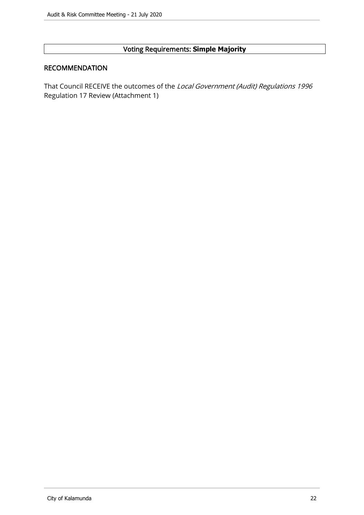# Voting Requirements: **Simple Majority**

#### RECOMMENDATION

That Council RECEIVE the outcomes of the Local Government (Audit) Regulations 1996 Regulation 17 Review (Attachment 1)